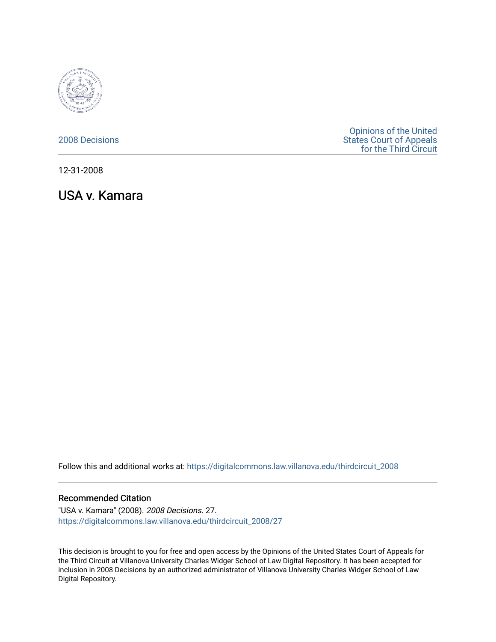

# [2008 Decisions](https://digitalcommons.law.villanova.edu/thirdcircuit_2008)

[Opinions of the United](https://digitalcommons.law.villanova.edu/thirdcircuit)  [States Court of Appeals](https://digitalcommons.law.villanova.edu/thirdcircuit)  [for the Third Circuit](https://digitalcommons.law.villanova.edu/thirdcircuit) 

12-31-2008

USA v. Kamara

Follow this and additional works at: [https://digitalcommons.law.villanova.edu/thirdcircuit\\_2008](https://digitalcommons.law.villanova.edu/thirdcircuit_2008?utm_source=digitalcommons.law.villanova.edu%2Fthirdcircuit_2008%2F27&utm_medium=PDF&utm_campaign=PDFCoverPages) 

## Recommended Citation

"USA v. Kamara" (2008). 2008 Decisions. 27. [https://digitalcommons.law.villanova.edu/thirdcircuit\\_2008/27](https://digitalcommons.law.villanova.edu/thirdcircuit_2008/27?utm_source=digitalcommons.law.villanova.edu%2Fthirdcircuit_2008%2F27&utm_medium=PDF&utm_campaign=PDFCoverPages)

This decision is brought to you for free and open access by the Opinions of the United States Court of Appeals for the Third Circuit at Villanova University Charles Widger School of Law Digital Repository. It has been accepted for inclusion in 2008 Decisions by an authorized administrator of Villanova University Charles Widger School of Law Digital Repository.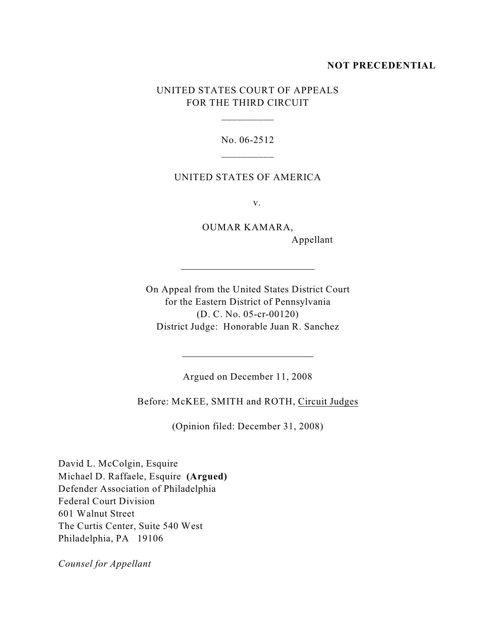### **NOT PRECEDENTIAL**

# UNITED STATES COURT OF APPEALS FOR THE THIRD CIRCUIT

\_\_\_\_\_\_\_\_\_\_

No. 06-2512 \_\_\_\_\_\_\_\_\_\_

#### UNITED STATES OF AMERICA

v.

OUMAR KAMARA, Appellant

<u> 1989 - Johann Barn, mars ann an t-Amhain Aonaich an t-Aonaich an t-Aonaich ann an t-Aonaich ann an t-Aonaich</u>

On Appeal from the United States District Court for the Eastern District of Pennsylvania (D. C. No. 05-cr-00120) District Judge: Honorable Juan R. Sanchez

 $\overline{a}$ 

 $\overline{a}$ 

Argued on December 11, 2008

Before: McKEE, SMITH and ROTH, Circuit Judges

(Opinion filed: December 31, 2008)

David L. McColgin, Esquire Michael D. Raffaele, Esquire **(Argued)** Defender Association of Philadelphia Federal Court Division 601 Walnut Street The Curtis Center, Suite 540 West Philadelphia, PA 19106

*Counsel for Appellant*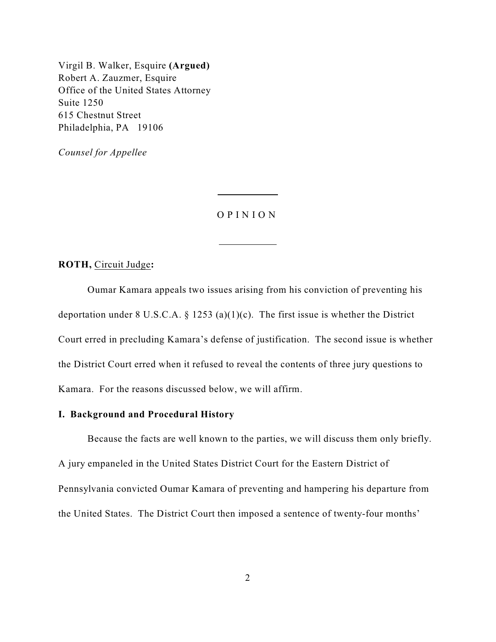Virgil B. Walker, Esquire **(Argued)** Robert A. Zauzmer, Esquire Office of the United States Attorney Suite 1250 615 Chestnut Street Philadelphia, PA 19106

*Counsel for Appellee*

### O P I N I O N

 $\overline{a}$ 

 $\overline{a}$ 

**ROTH,** Circuit Judge**:**

Oumar Kamara appeals two issues arising from his conviction of preventing his deportation under 8 U.S.C.A. § 1253 (a)(1)(c). The first issue is whether the District Court erred in precluding Kamara's defense of justification. The second issue is whether the District Court erred when it refused to reveal the contents of three jury questions to Kamara. For the reasons discussed below, we will affirm.

## **I. Background and Procedural History**

Because the facts are well known to the parties, we will discuss them only briefly. A jury empaneled in the United States District Court for the Eastern District of Pennsylvania convicted Oumar Kamara of preventing and hampering his departure from the United States. The District Court then imposed a sentence of twenty-four months'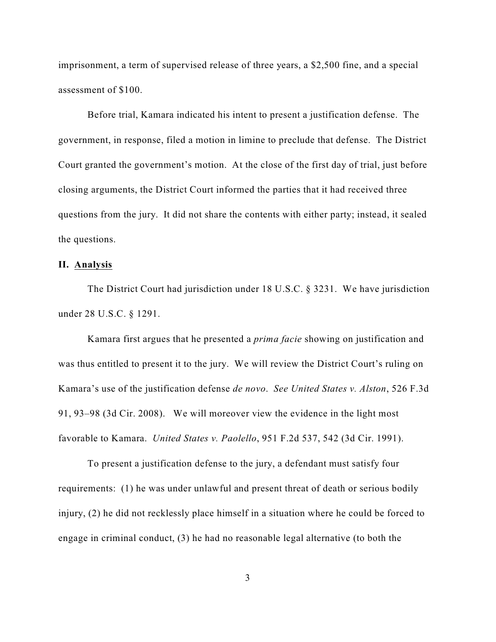imprisonment, a term of supervised release of three years, a \$2,500 fine, and a special assessment of \$100.

Before trial, Kamara indicated his intent to present a justification defense. The government, in response, filed a motion in limine to preclude that defense. The District Court granted the government's motion. At the close of the first day of trial, just before closing arguments, the District Court informed the parties that it had received three questions from the jury. It did not share the contents with either party; instead, it sealed the questions.

## **II. Analysis**

The District Court had jurisdiction under 18 U.S.C. § 3231. We have jurisdiction under 28 U.S.C. § 1291.

Kamara first argues that he presented a *prima facie* showing on justification and was thus entitled to present it to the jury. We will review the District Court's ruling on Kamara's use of the justification defense *de novo*. *See United States v. Alston*, 526 F.3d 91, 93–98 (3d Cir. 2008). We will moreover view the evidence in the light most favorable to Kamara. *United States v. Paolello*, 951 F.2d 537, 542 (3d Cir. 1991).

To present a justification defense to the jury, a defendant must satisfy four requirements: (1) he was under unlawful and present threat of death or serious bodily injury, (2) he did not recklessly place himself in a situation where he could be forced to engage in criminal conduct, (3) he had no reasonable legal alternative (to both the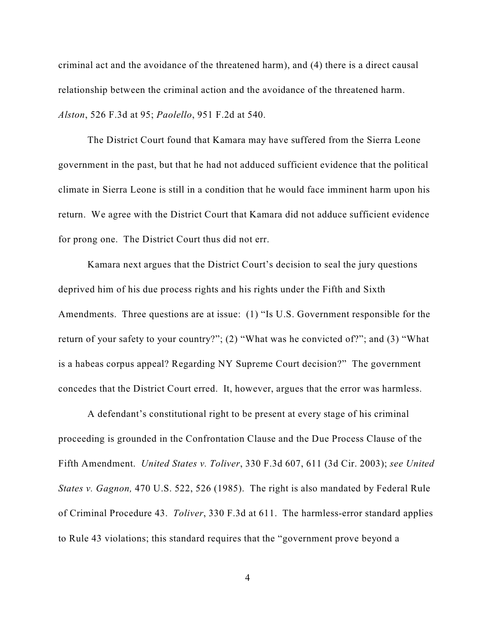criminal act and the avoidance of the threatened harm), and (4) there is a direct causal relationship between the criminal action and the avoidance of the threatened harm. *Alston*, 526 F.3d at 95; *Paolello*, 951 F.2d at 540.

The District Court found that Kamara may have suffered from the Sierra Leone government in the past, but that he had not adduced sufficient evidence that the political climate in Sierra Leone is still in a condition that he would face imminent harm upon his return. We agree with the District Court that Kamara did not adduce sufficient evidence for prong one. The District Court thus did not err.

Kamara next argues that the District Court's decision to seal the jury questions deprived him of his due process rights and his rights under the Fifth and Sixth Amendments. Three questions are at issue: (1) "Is U.S. Government responsible for the return of your safety to your country?"; (2) "What was he convicted of?"; and (3) "What is a habeas corpus appeal? Regarding NY Supreme Court decision?" The government concedes that the District Court erred. It, however, argues that the error was harmless.

A defendant's constitutional right to be present at every stage of his criminal proceeding is grounded in the Confrontation Clause and the Due Process Clause of the Fifth Amendment. *United States v. Toliver*, 330 F.3d 607, 611 (3d Cir. 2003); *see United States v. Gagnon,* 470 U.S. 522, 526 (1985). The right is also mandated by Federal Rule of Criminal Procedure 43. *Toliver*, 330 F.3d at 611. The harmless-error standard applies to Rule 43 violations; this standard requires that the "government prove beyond a